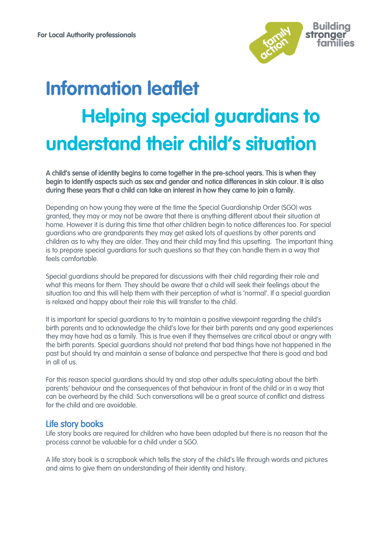

# **Information leaflet Helping special guardians to understand their child's situation**

A child's sense of identity begins to come together in the pre-school years. This is when they begin to identify aspects such as sex and gender and notice differences in skin colour. It is also during these years that a child can take an interest in how they came to join a family.

Depending on how young they were at the time the Special Guardianship Order (SGO) was granted, they may or may not be aware that there is anything different about their situation at home. However it is during this time that other children begin to notice differences too. For special guardians who are grandparents they may get asked lots of questions by other parents and children as to why they are older. They and their child may find this upsetting. The important thing is to prepare special guardians for such questions so that they can handle them in a way that feels comfortable.

Special guardians should be prepared for discussions with their child regarding their role and what this means for them. They should be aware that a child will seek their feelings about the situation too and this will help them with their perception of what is 'normal'. If a special guardian is relaxed and happy about their role this will transfer to the child.

It is important for special guardians to try to maintain a positive viewpoint regarding the child's birth parents and to acknowledge the child's love for their birth parents and any good experiences they may have had as a family. This is true even if they themselves are critical about or angry with the birth parents. Special guardians should not pretend that bad things have not happened in the past but should try and maintain a sense of balance and perspective that there is good and bad in all of us.

For this reason special guardians should try and stop other adults speculating about the birth parents' behaviour and the consequences of that behaviour in front of the child or in a way that can be overheard by the child. Such conversations will be a great source of conflict and distress for the child and are avoidable.

# Life story books

Life story books are required for children who have been adopted but there is no reason that the process cannot be valuable for a child under a SGO.

A life story book is a scrapbook which tells the story of the child's life through words and pictures and aims to give them an understanding of their identity and history.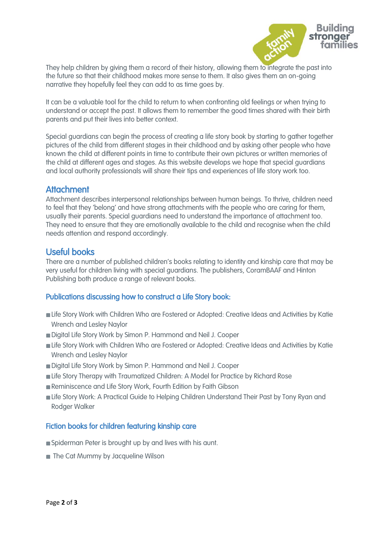

They help children by giving them a record of their history, allowing them to integrate the past into the future so that their childhood makes more sense to them. It also gives them an on-going narrative they hopefully feel they can add to as time goes by.

It can be a valuable tool for the child to return to when confronting old feelings or when trying to understand or accept the past. It allows them to remember the good times shared with their birth parents and put their lives into better context.

Special guardians can begin the process of creating a life story book by starting to gather together pictures of the child from different stages in their childhood and by asking other people who have known the child at different points in time to contribute their own pictures or written memories of the child at different ages and stages. As this website develops we hope that special guardians and local authority professionals will share their tips and experiences of life story work too.

### **Attachment**

Attachment describes interpersonal relationships between human beings. To thrive, children need to feel that they 'belong' and have strong attachments with the people who are caring for them, usually their parents. Special guardians need to understand the importance of attachment too. They need to ensure that they are emotionally available to the child and recognise when the child needs attention and respond accordingly.

# Useful books

There are a number of published children's books relating to identity and kinship care that may be very useful for children living with special guardians. The publishers, CoramBAAF and Hinton Publishing both produce a range of relevant books.

#### Publications discussing how to construct a Life Story book:

- Life Story Work with Children Who are Fostered or Adopted: Creative Ideas and Activities by Katie Wrench and Lesley Naylor
- Digital Life Story Work by Simon P. Hammond and Neil J. Cooper
- Life Story Work with Children Who are Fostered or Adopted: Creative Ideas and Activities by Katie Wrench and Lesley Naylor
- Digital Life Story Work by Simon P. Hammond and Neil J. Cooper
- Life Story Therapy with Traumatized Children: A Model for Practice by Richard Rose
- Reminiscence and Life Story Work, Fourth Edition by Faith Gibson
- Life Story Work: A Practical Guide to Helping Children Understand Their Past by Tony Ryan and Rodger Walker

#### Fiction books for children featuring kinship care

- Spiderman Peter is brought up by and lives with his aunt.
- The Cat Mummy by Jacqueline Wilson